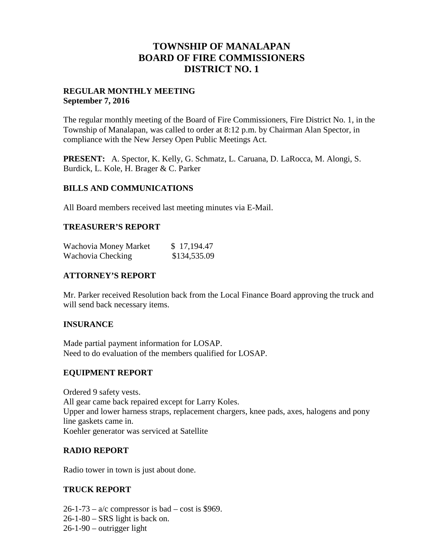# **TOWNSHIP OF MANALAPAN BOARD OF FIRE COMMISSIONERS DISTRICT NO. 1**

# **REGULAR MONTHLY MEETING September 7, 2016**

The regular monthly meeting of the Board of Fire Commissioners, Fire District No. 1, in the Township of Manalapan, was called to order at 8:12 p.m. by Chairman Alan Spector, in compliance with the New Jersey Open Public Meetings Act.

**PRESENT:** A. Spector, K. Kelly, G. Schmatz, L. Caruana, D. LaRocca, M. Alongi, S. Burdick, L. Kole, H. Brager & C. Parker

#### **BILLS AND COMMUNICATIONS**

All Board members received last meeting minutes via E-Mail.

#### **TREASURER'S REPORT**

| Wachovia Money Market | \$17,194.47  |  |
|-----------------------|--------------|--|
| Wachovia Checking     | \$134,535.09 |  |

# **ATTORNEY'S REPORT**

Mr. Parker received Resolution back from the Local Finance Board approving the truck and will send back necessary items.

#### **INSURANCE**

Made partial payment information for LOSAP. Need to do evaluation of the members qualified for LOSAP.

#### **EQUIPMENT REPORT**

Ordered 9 safety vests. All gear came back repaired except for Larry Koles. Upper and lower harness straps, replacement chargers, knee pads, axes, halogens and pony line gaskets came in. Koehler generator was serviced at Satellite

#### **RADIO REPORT**

Radio tower in town is just about done.

#### **TRUCK REPORT**

 $26-1-73 - a/c$  compressor is bad – cost is \$969.  $26-1-80$  – SRS light is back on. 26-1-90 – outrigger light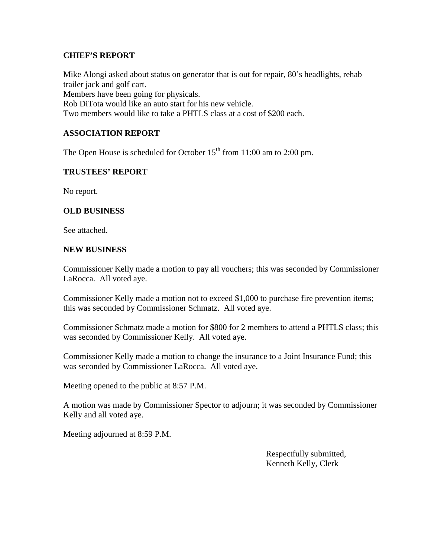### **CHIEF'S REPORT**

Mike Alongi asked about status on generator that is out for repair, 80's headlights, rehab trailer jack and golf cart. Members have been going for physicals. Rob DiTota would like an auto start for his new vehicle. Two members would like to take a PHTLS class at a cost of \$200 each.

# **ASSOCIATION REPORT**

The Open House is scheduled for October  $15<sup>th</sup>$  from 11:00 am to 2:00 pm.

# **TRUSTEES' REPORT**

No report.

# **OLD BUSINESS**

See attached.

#### **NEW BUSINESS**

Commissioner Kelly made a motion to pay all vouchers; this was seconded by Commissioner LaRocca. All voted aye.

Commissioner Kelly made a motion not to exceed \$1,000 to purchase fire prevention items; this was seconded by Commissioner Schmatz. All voted aye.

Commissioner Schmatz made a motion for \$800 for 2 members to attend a PHTLS class; this was seconded by Commissioner Kelly. All voted aye.

Commissioner Kelly made a motion to change the insurance to a Joint Insurance Fund; this was seconded by Commissioner LaRocca. All voted aye.

Meeting opened to the public at 8:57 P.M.

A motion was made by Commissioner Spector to adjourn; it was seconded by Commissioner Kelly and all voted aye.

Meeting adjourned at 8:59 P.M.

Respectfully submitted, Kenneth Kelly, Clerk